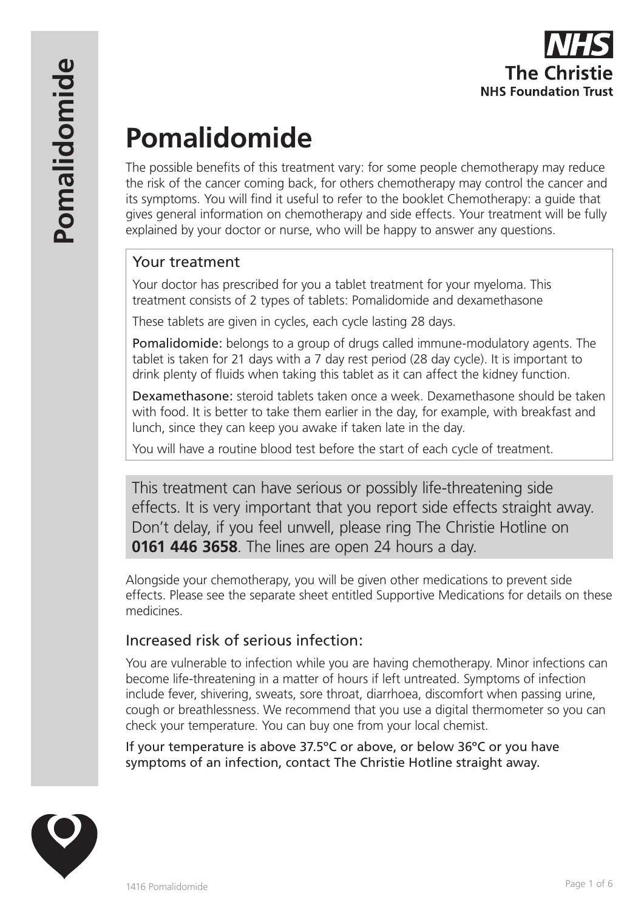# **Pomalidomide**

The possible benefits of this treatment vary: for some people chemotherapy may reduce the risk of the cancer coming back, for others chemotherapy may control the cancer and its symptoms. You will find it useful to refer to the booklet Chemotherapy: a guide that gives general information on chemotherapy and side effects. Your treatment will be fully explained by your doctor or nurse, who will be happy to answer any questions.

# Your treatment

Your doctor has prescribed for you a tablet treatment for your myeloma. This treatment consists of 2 types of tablets: Pomalidomide and dexamethasone

These tablets are given in cycles, each cycle lasting 28 days.

Pomalidomide: belongs to a group of drugs called immune-modulatory agents. The tablet is taken for 21 days with a 7 day rest period (28 day cycle). It is important to drink plenty of fluids when taking this tablet as it can affect the kidney function.

Dexamethasone: steroid tablets taken once a week. Dexamethasone should be taken with food. It is better to take them earlier in the day, for example, with breakfast and lunch, since they can keep you awake if taken late in the day.

You will have a routine blood test before the start of each cycle of treatment.

This treatment can have serious or possibly life-threatening side effects. It is very important that you report side effects straight away. Don't delay, if you feel unwell, please ring The Christie Hotline on **0161 446 3658**. The lines are open 24 hours a day.

Alongside your chemotherapy, you will be given other medications to prevent side effects. Please see the separate sheet entitled Supportive Medications for details on these medicines.

# Increased risk of serious infection:

You are vulnerable to infection while you are having chemotherapy. Minor infections can become life-threatening in a matter of hours if left untreated. Symptoms of infection include fever, shivering, sweats, sore throat, diarrhoea, discomfort when passing urine, cough or breathlessness. We recommend that you use a digital thermometer so you can check your temperature. You can buy one from your local chemist.

If your temperature is above 37.5ºC or above, or below 36ºC or you have symptoms of an infection, contact The Christie Hotline straight away.

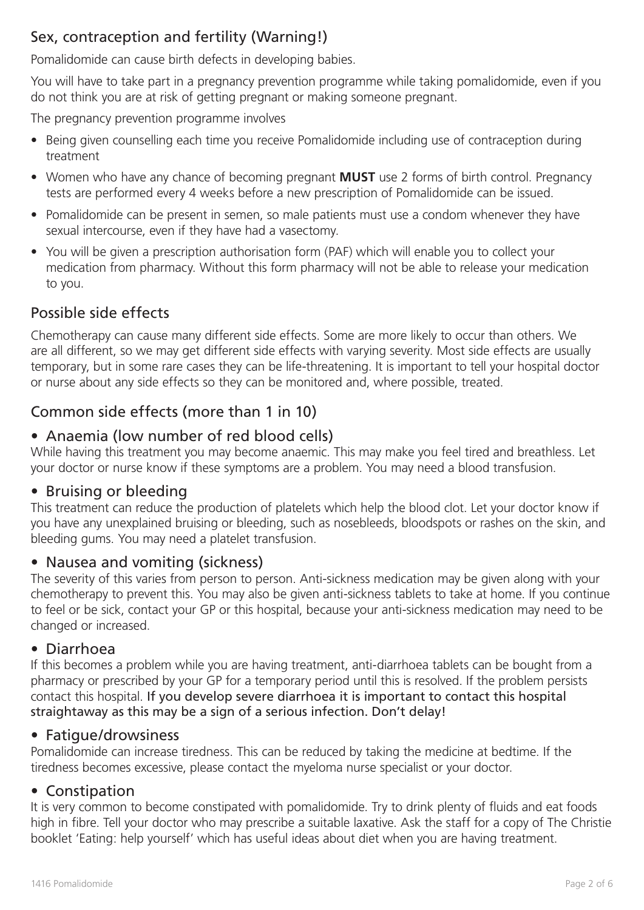# Sex, contraception and fertility (Warning!)

Pomalidomide can cause birth defects in developing babies.

You will have to take part in a pregnancy prevention programme while taking pomalidomide, even if you do not think you are at risk of getting pregnant or making someone pregnant.

The pregnancy prevention programme involves

- Being given counselling each time you receive Pomalidomide including use of contraception during treatment
- Women who have any chance of becoming pregnant **MUST** use 2 forms of birth control. Pregnancy tests are performed every 4 weeks before a new prescription of Pomalidomide can be issued.
- Pomalidomide can be present in semen, so male patients must use a condom whenever they have sexual intercourse, even if they have had a vasectomy.
- You will be given a prescription authorisation form (PAF) which will enable you to collect your medication from pharmacy. Without this form pharmacy will not be able to release your medication to you.

# Possible side effects

Chemotherapy can cause many different side effects. Some are more likely to occur than others. We are all different, so we may get different side effects with varying severity. Most side effects are usually temporary, but in some rare cases they can be life-threatening. It is important to tell your hospital doctor or nurse about any side effects so they can be monitored and, where possible, treated.

## Common side effects (more than 1 in 10)

### • Anaemia (low number of red blood cells)

While having this treatment you may become anaemic. This may make you feel tired and breathless. Let your doctor or nurse know if these symptoms are a problem. You may need a blood transfusion.

### • Bruising or bleeding

This treatment can reduce the production of platelets which help the blood clot. Let your doctor know if you have any unexplained bruising or bleeding, such as nosebleeds, bloodspots or rashes on the skin, and bleeding gums. You may need a platelet transfusion.

### • Nausea and vomiting (sickness)

The severity of this varies from person to person. Anti-sickness medication may be given along with your chemotherapy to prevent this. You may also be given anti-sickness tablets to take at home. If you continue to feel or be sick, contact your GP or this hospital, because your anti-sickness medication may need to be changed or increased.

### • Diarrhoea

If this becomes a problem while you are having treatment, anti-diarrhoea tablets can be bought from a pharmacy or prescribed by your GP for a temporary period until this is resolved. If the problem persists contact this hospital. If you develop severe diarrhoea it is important to contact this hospital straightaway as this may be a sign of a serious infection. Don't delay!

### • Fatigue/drowsiness

Pomalidomide can increase tiredness. This can be reduced by taking the medicine at bedtime. If the tiredness becomes excessive, please contact the myeloma nurse specialist or your doctor.

### • Constipation

It is very common to become constipated with pomalidomide. Try to drink plenty of fluids and eat foods high in fibre. Tell your doctor who may prescribe a suitable laxative. Ask the staff for a copy of The Christie booklet 'Eating: help yourself' which has useful ideas about diet when you are having treatment.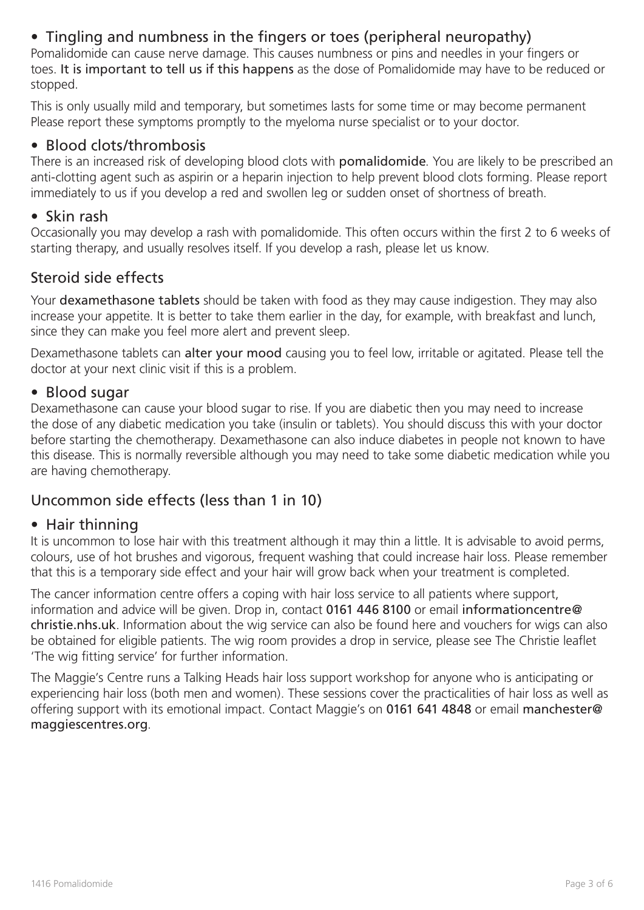# • Tingling and numbness in the fingers or toes (peripheral neuropathy)

Pomalidomide can cause nerve damage. This causes numbness or pins and needles in your fingers or toes. It is important to tell us if this happens as the dose of Pomalidomide may have to be reduced or stopped.

This is only usually mild and temporary, but sometimes lasts for some time or may become permanent Please report these symptoms promptly to the myeloma nurse specialist or to your doctor.

### • Blood clots/thrombosis

There is an increased risk of developing blood clots with pomalidomide. You are likely to be prescribed an anti-clotting agent such as aspirin or a heparin injection to help prevent blood clots forming. Please report immediately to us if you develop a red and swollen leg or sudden onset of shortness of breath.

### • Skin rash

Occasionally you may develop a rash with pomalidomide. This often occurs within the first 2 to 6 weeks of starting therapy, and usually resolves itself. If you develop a rash, please let us know.

### Steroid side effects

Your **dexamethasone tablets** should be taken with food as they may cause indigestion. They may also increase your appetite. It is better to take them earlier in the day, for example, with breakfast and lunch, since they can make you feel more alert and prevent sleep.

Dexamethasone tablets can alter your mood causing you to feel low, irritable or agitated. Please tell the doctor at your next clinic visit if this is a problem.

### • Blood sugar

Dexamethasone can cause your blood sugar to rise. If you are diabetic then you may need to increase the dose of any diabetic medication you take (insulin or tablets). You should discuss this with your doctor before starting the chemotherapy. Dexamethasone can also induce diabetes in people not known to have this disease. This is normally reversible although you may need to take some diabetic medication while you are having chemotherapy.

### Uncommon side effects (less than 1 in 10)

### • Hair thinning

It is uncommon to lose hair with this treatment although it may thin a little. It is advisable to avoid perms, colours, use of hot brushes and vigorous, frequent washing that could increase hair loss. Please remember that this is a temporary side effect and your hair will grow back when your treatment is completed.

The cancer information centre offers a coping with hair loss service to all patients where support, information and advice will be given. Drop in, contact 0161 446 8100 or email informationcentre@ christie.nhs.uk. Information about the wig service can also be found here and vouchers for wigs can also be obtained for eligible patients. The wig room provides a drop in service, please see The Christie leaflet 'The wig fitting service' for further information.

The Maggie's Centre runs a Talking Heads hair loss support workshop for anyone who is anticipating or experiencing hair loss (both men and women). These sessions cover the practicalities of hair loss as well as offering support with its emotional impact. Contact Maggie's on 0161 641 4848 or email manchester@ maggiescentres.org.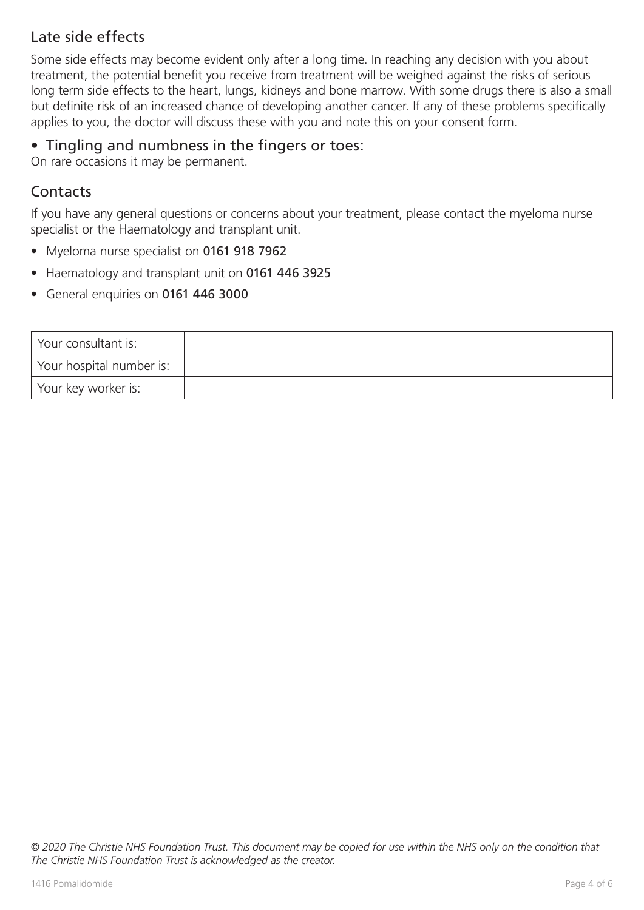# Late side effects

Some side effects may become evident only after a long time. In reaching any decision with you about treatment, the potential benefit you receive from treatment will be weighed against the risks of serious long term side effects to the heart, lungs, kidneys and bone marrow. With some drugs there is also a small but definite risk of an increased chance of developing another cancer. If any of these problems specifically applies to you, the doctor will discuss these with you and note this on your consent form.

### • Tingling and numbness in the fingers or toes:

On rare occasions it may be permanent.

### Contacts

If you have any general questions or concerns about your treatment, please contact the myeloma nurse specialist or the Haematology and transplant unit.

- Myeloma nurse specialist on 0161 918 7962
- Haematology and transplant unit on 0161 446 3925
- General enquiries on 0161 446 3000

| Your consultant is:      |  |
|--------------------------|--|
| Your hospital number is: |  |
| Your key worker is:      |  |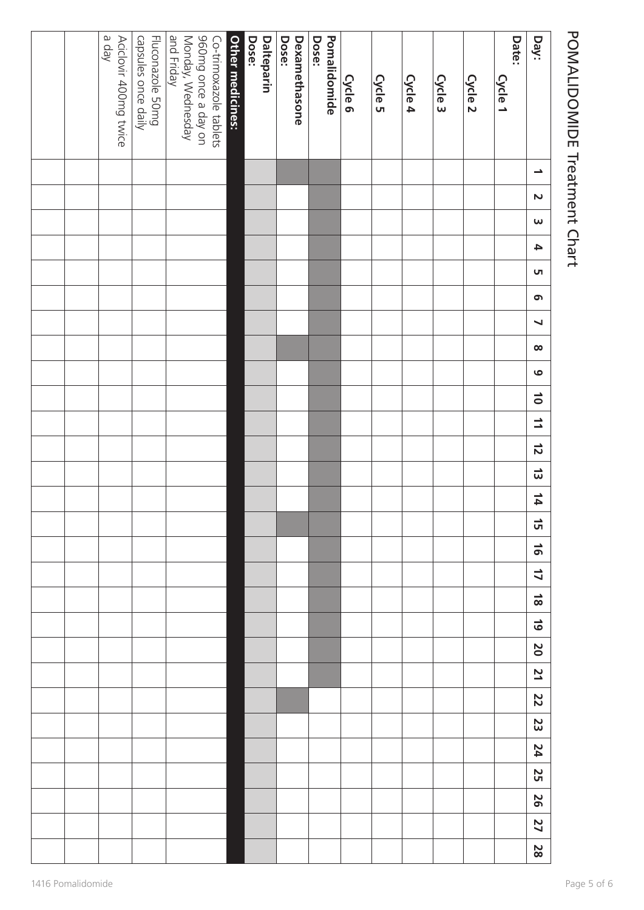# bey and a set of  $\frac{1}{2}$  a  $\frac{1}{2}$  a  $\frac{1}{2}$  a  $\frac{1}{2}$  a  $\frac{1}{2}$  a  $\frac{1}{2}$  a  $\frac{1}{2}$  a  $\frac{1}{2}$  a  $\frac{1}{2}$  a  $\frac{1}{2}$  a  $\frac{1}{2}$  a  $\frac{1}{2}$  a  $\frac{1}{2}$  a  $\frac{1}{2}$  a  $\frac{1}{2}$  a  $\frac{1}{2}$  a  $\frac{1}{2}$  a